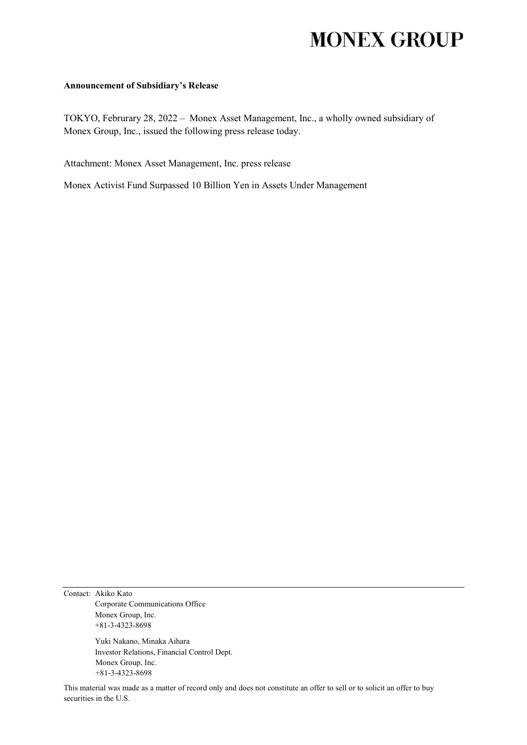## **MONEX GROUP**

## **Announcement of Subsidiary's Release**

TOKYO, Februrary 28, 2022 – Monex Asset Management, Inc., a wholly owned subsidiary of Monex Group, Inc., issued the following press release today.

Attachment: Monex Asset Management, Inc. press release

Monex Activist Fund Surpassed 10 Billion Yen in Assets Under Management

Contact: Akiko Kato Corporate Communications Office Monex Group, Inc. +81-3-4323-8698

> Yuki Nakano, Minaka Aihara Investor Relations, Financial Control Dept. Monex Group, Inc. +81-3-4323-8698

This material was made as a matter of record only and does not constitute an offer to sell or to solicit an offer to buy securities in the U.S.